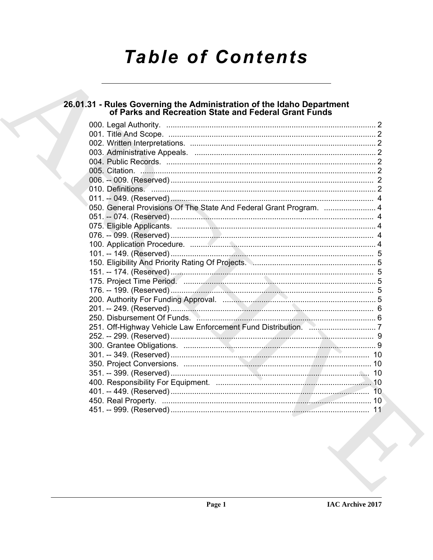# **Table of Contents**

# 26.01.31 - Rules Governing the Administration of the Idaho Department<br>of Parks and Recreation State and Federal Grant Funds

| 050. General Provisions Of The State And Federal Grant Program.  4 |  |
|--------------------------------------------------------------------|--|
|                                                                    |  |
|                                                                    |  |
|                                                                    |  |
|                                                                    |  |
|                                                                    |  |
|                                                                    |  |
|                                                                    |  |
|                                                                    |  |
|                                                                    |  |
|                                                                    |  |
|                                                                    |  |
|                                                                    |  |
|                                                                    |  |
|                                                                    |  |
|                                                                    |  |
|                                                                    |  |
|                                                                    |  |
|                                                                    |  |
|                                                                    |  |
|                                                                    |  |
|                                                                    |  |
|                                                                    |  |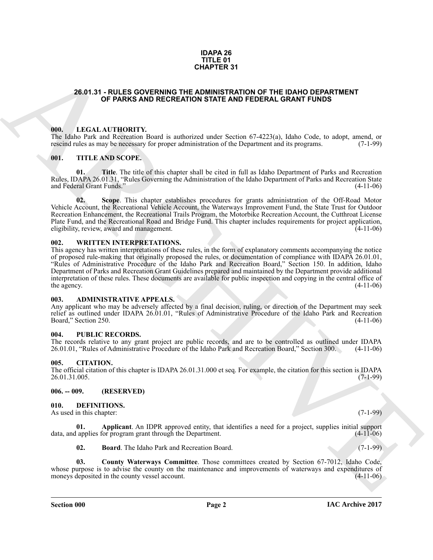#### **IDAPA 26 TITLE 01 CHAPTER 31**

### <span id="page-1-0"></span>**26.01.31 - RULES GOVERNING THE ADMINISTRATION OF THE IDAHO DEPARTMENT OF PARKS AND RECREATION STATE AND FEDERAL GRANT FUNDS**

#### <span id="page-1-1"></span>**000. LEGAL AUTHORITY.**

The Idaho Park and Recreation Board is authorized under Section 67-4223(a), Idaho Code, to adopt, amend, or rescind rules as may be necessary for proper administration of the Department and its programs. (7-1-99) rescind rules as may be necessary for proper administration of the Department and its programs.

#### <span id="page-1-2"></span>**001. TITLE AND SCOPE.**

**01. Title**. The title of this chapter shall be cited in full as Idaho Department of Parks and Recreation Rules, IDAPA 26.01.31, "Rules Governing the Administration of the Idaho Department of Parks and Recreation State<br>and Federal Grant Funds." (4-11-06) and Federal Grant Funds."

**02. Scope**. This chapter establishes procedures for grants administration of the Off-Road Motor Vehicle Account, the Recreational Vehicle Account, the Waterways Improvement Fund, the State Trust for Outdoor Recreation Enhancement, the Recreational Trails Program, the Motorbike Recreation Account, the Cutthroat License Plate Fund, and the Recreational Road and Bridge Fund. This chapter includes requirements for project application, eligibility, review, award and management. (4-11-06) eligibility, review, award and management.

#### <span id="page-1-3"></span>**002. WRITTEN INTERPRETATIONS.**

**CHAPTER SY**<br>**CHAPTER SY**<br>**CHAPTER SY**<br>**CHAPTER SYSTEM AND PRECRETION OF THE IDANT DEPARTMENT<br>
OF PARKS AND PRECRETION STATE AND FEDERAL GRANT FUNDS<br>
100. LEVEL AT IT HORES CONTINUES TO THE UNIT OF THE ARCHITECT OF THE SE** This agency has written interpretations of these rules, in the form of explanatory comments accompanying the notice of proposed rule-making that originally proposed the rules, or documentation of compliance with IDAPA 26.01.01, "Rules of Administrative Procedure of the Idaho Park and Recreation Board," Section 150. In addition, Idaho Department of Parks and Recreation Grant Guidelines prepared and maintained by the Department provide additional interpretation of these rules. These documents are available for public inspection and copying in the central office of the agency.  $(4-11-06)$ 

#### <span id="page-1-4"></span>**003. ADMINISTRATIVE APPEALS.**

Any applicant who may be adversely affected by a final decision, ruling, or direction of the Department may seek relief as outlined under IDAPA 26.01.01, "Rules of Administrative Procedure of the Idaho Park and Recreation Board," Section 250. (4-11-06)

#### <span id="page-1-5"></span>**004. PUBLIC RECORDS.**

The records relative to any grant project are public records, and are to be controlled as outlined under IDAPA 26.01.01. "Rules of Administrative Procedure of the Idaho Park and Recreation Board." Section 300. (4-11-06) 26.01.01, "Rules of Administrative Procedure of the Idaho Park and Recreation Board," Section 300.

#### <span id="page-1-6"></span>**005. CITATION.**

The official citation of this chapter is IDAPA 26.01.31.000 et seq. For example, the citation for this section is IDAPA 26.01.31.005.

#### <span id="page-1-7"></span>**006. -- 009. (RESERVED)**

<span id="page-1-9"></span><span id="page-1-8"></span>**010. DEFINITIONS.**

As used in this chapter: (7-1-99)

**01. Applicant**. An IDPR approved entity, that identifies a need for a project, supplies initial support applies for program grant through the Department. (4-11-06) data, and applies for program grant through the Department.

<span id="page-1-12"></span><span id="page-1-11"></span><span id="page-1-10"></span>**02. Board**. The Idaho Park and Recreation Board. (7-1-99)

**03. County Waterways Committee**. Those committees created by Section 67-7012, Idaho Code, whose purpose is to advise the county on the maintenance and improvements of waterways and expenditures of moneys deposited in the county vessel account. moneys deposited in the county vessel account.

**Section 000 Page 2**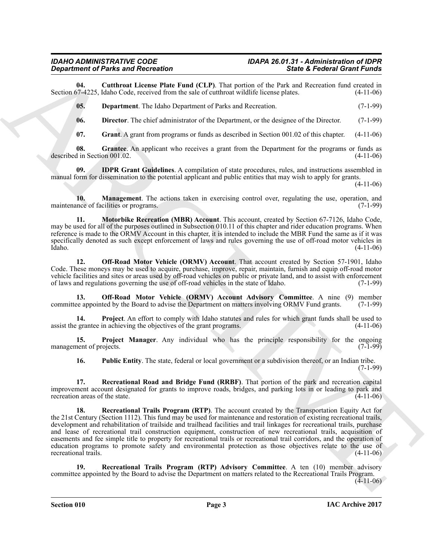**04. Cutthroat License Plate Fund (CLP)**. That portion of the Park and Recreation fund created in Section 67-4225, Idaho Code, received from the sale of cutthroat wildlife license plates.

<span id="page-2-1"></span><span id="page-2-0"></span>**05. Department**. The Idaho Department of Parks and Recreation. (7-1-99)

<span id="page-2-2"></span>**06. Director**. The chief administrator of the Department, or the designee of the Director. (7-1-99)

<span id="page-2-5"></span><span id="page-2-4"></span><span id="page-2-3"></span>**07.** Grant A grant from programs or funds as described in Section 001.02 of this chapter. (4-11-06)

**08.** Grantee. An applicant who receives a grant from the Department for the programs or funds as in Section 001.02. (4-11-06) described in Section 001.02.

**09. IDPR Grant Guidelines**. A compilation of state procedures, rules, and instructions assembled in manual form for dissemination to the potential applicant and public entities that may wish to apply for grants.

 $(4-11-06)$ 

<span id="page-2-6"></span>**10. Management**. The actions taken in exercising control over, regulating the use, operation, and nece of facilities or programs. (7-1-99) maintenance of facilities or programs.

<span id="page-2-7"></span>**11. Motorbike Recreation (MBR) Account**. This account, created by Section 67-7126, Idaho Code, may be used for all of the purposes outlined in Subsection 010.11 of this chapter and rider education programs. When reference is made to the ORMV Account in this chapter, it is intended to include the MBR Fund the same as if it was specifically denoted as such except enforcement of laws and rules governing the use of off-road motor vehicles in Idaho. (4-11-06) Idaho. (4-11-06)

<span id="page-2-8"></span>**12. Off-Road Motor Vehicle (ORMV) Account**. That account created by Section 57-1901, Idaho Code. These moneys may be used to acquire, purchase, improve, repair, maintain, furnish and equip off-road motor vehicle facilities and sites or areas used by off-road vehicles on public or private land, and to assist with enforcement of laws and regulations governing the use of off-road vehicles in the state of Idaho. (7-1-99)

<span id="page-2-9"></span>**13. Off-Road Motor Vehicle (ORMV) Account Advisory Committee**. A nine (9) member been appointed by the Board to advise the Department on matters involving ORMV Fund grants. (7-1-99) committee appointed by the Board to advise the Department on matters involving ORMV Fund grants.

<span id="page-2-10"></span>**14. Project**. An effort to comply with Idaho statutes and rules for which grant funds shall be used to grantee in achieving the objectives of the grant programs. (4-11-06) assist the grantee in achieving the objectives of the grant programs.

**15. Project Manager**. Any individual who has the principle responsibility for the ongoing nent of projects. (7-1-99) management of projects.

<span id="page-2-14"></span><span id="page-2-13"></span><span id="page-2-12"></span><span id="page-2-11"></span>**16.** Public Entity. The state, federal or local government or a subdivision thereof, or an Indian tribe.  $(7-1-99)$ 

**17. Recreational Road and Bridge Fund (RRBF)**. That portion of the park and recreation capital improvement account designated for grants to improve roads, bridges, and parking lots in or leading to park and recreation areas of the state. (4-11-06) recreation areas of the state.

**Expansion of Paints and Records on the line of CLP).** Due into the section of the Section General interest in the section of the line of ClP). Due with the line of the section of the line of the section of the line of th **18. Recreational Trails Program (RTP)**. The account created by the Transportation Equity Act for the 21st Century (Section 1112). This fund may be used for maintenance and restoration of existing recreational trails, development and rehabilitation of trailside and trailhead facilities and trail linkages for recreational trails, purchase and lease of recreational trail construction equipment, construction of new recreational trails, acquisition of easements and fee simple title to property for recreational trails or recreational trail corridors, and the operation of education programs to promote safety and environmental protection as those objectives relate to the use of recreational trails. (4-11-06) recreational trails.

<span id="page-2-15"></span>**19. Recreational Trails Program (RTP) Advisory Committee**. A ten (10) member advisory committee appointed by the Board to advise the Department on matters related to the Recreational Trails Program.  $(4-11-06)$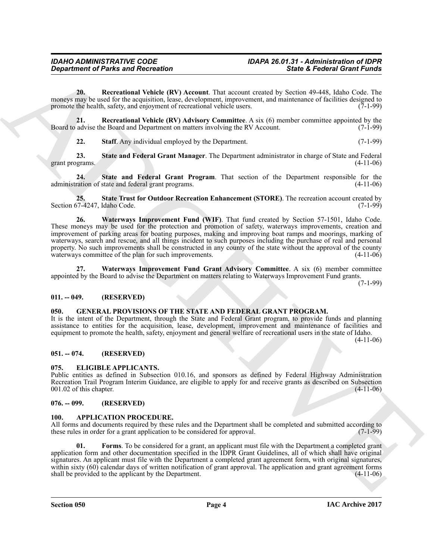<span id="page-3-8"></span>**20. Recreational Vehicle (RV) Account**. That account created by Section 49-448, Idaho Code. The moneys may be used for the acquisition, lease, development, improvement, and maintenance of facilities designed to promote the health. safety, and enjoyment of recreational vehicle users. (7-1-99) promote the health, safety, and enjoyment of recreational vehicle users.

**21.** Recreational Vehicle (RV) Advisory Committee. A six (6) member committee appointed by the advise the Board and Department on matters involving the RV Account. (7-1-99) Board to advise the Board and Department on matters involving the RV Account.

<span id="page-3-12"></span><span id="page-3-11"></span><span id="page-3-10"></span><span id="page-3-9"></span>**22. Staff**. Any individual employed by the Department. (7-1-99)

**23. State and Federal Grant Manager**. The Department administrator in charge of State and Federal grant programs.

**24. State and Federal Grant Program**. That section of the Department responsible for the administration of state and federal grant programs. (4-11-06)

<span id="page-3-14"></span><span id="page-3-13"></span>**25. State Trust for Outdoor Recreation Enhancement (STORE)**. The recreation account created by Section 67-4247, Idaho Code.

**Since**  $\alpha$  **26 Excellent Characteristics 36 Excellent Characteristics 36 Excellent Characteristics 36 Excellent Characteristics 36 Excellent Characteristics 36 Excellent Characteristics 36 Exce 26. Waterways Improvement Fund (WIF)**. That fund created by Section 57-1501, Idaho Code. These moneys may be used for the protection and promotion of safety, waterways improvements, creation and improvement of parking areas for boating purposes, making and improving boat ramps and moorings, marking of waterways, search and rescue, and all things incident to such purposes including the purchase of real and personal property. No such improvements shall be constructed in any county of the state without the approval of the county waterways committee of the plan for such improvements. (4-11-06)

<span id="page-3-15"></span>**27. Waterways Improvement Fund Grant Advisory Committee**. A six (6) member committee appointed by the Board to advise the Department on matters relating to Waterways Improvement Fund grants.

(7-1-99)

## <span id="page-3-0"></span>**011. -- 049. (RESERVED)**

#### <span id="page-3-17"></span><span id="page-3-1"></span>**050. GENERAL PROVISIONS OF THE STATE AND FEDERAL GRANT PROGRAM.**

It is the intent of the Department, through the State and Federal Grant program, to provide funds and planning assistance to entities for the acquisition, lease, development, improvement and maintenance of facilities and equipment to promote the health, safety, enjoyment and general welfare of recreational users in the state of Idaho.

 $(4-11-06)$ 

### <span id="page-3-2"></span>**051. -- 074. (RESERVED)**

#### <span id="page-3-16"></span><span id="page-3-3"></span>**075. ELIGIBLE APPLICANTS.**

Public entities as defined in Subsection 010.16, and sponsors as defined by Federal Highway Administration Recreation Trail Program Interim Guidance, are eligible to apply for and receive grants as described on Subsection 001.02 of this chapter. (4-11-06)  $001.02$  of this chapter.

#### <span id="page-3-4"></span>**076. -- 099. (RESERVED)**

#### <span id="page-3-6"></span><span id="page-3-5"></span>**100. APPLICATION PROCEDURE.**

All forms and documents required by these rules and the Department shall be completed and submitted according to these rules in order for a grant application to be considered for approval. (7-1-99) these rules in order for a grant application to be considered for approval.

<span id="page-3-7"></span>Forms. To be considered for a grant, an applicant must file with the Department a completed grant application form and other documentation specified in the IDPR Grant Guidelines, all of which shall have original signatures. An applicant must file with the Department a completed grant agreement form, with original signatures, within sixty  $(60)$  calendar days of written notification of grant approval. The application and grant agreement forms shall be provided to the applicant by the Department.  $(4-11-06)$ shall be provided to the applicant by the Department.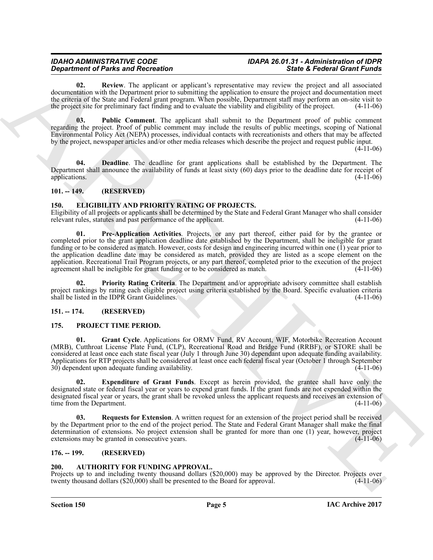# *IDAHO ADMINISTRATIVE CODE IDAPA 26.01.31 - Administration of IDPR*

<span id="page-4-8"></span>**02. Review**. The applicant or applicant's representative may review the project and all associated documentation with the Department prior to submitting the application to ensure the project and documentation meet the criteria of the State and Federal grant program. When possible, Department staff may perform an on-site visit to the project site for preliminary fact finding and to evaluate the viability and eligibility of the project. (4-11-06)

<span id="page-4-7"></span>**03. Public Comment**. The applicant shall submit to the Department proof of public comment regarding the project. Proof of public comment may include the results of public meetings, scoping of National Environmental Policy Act (NEPA) processes, individual contacts with recreationists and others that may be affected by the project, newspaper articles and/or other media releases which describe the project and request public input.

 $(4-11-06)$ 

<span id="page-4-6"></span>**04. Deadline**. The deadline for grant applications shall be established by the Department. The Department shall announce the availability of funds at least sixty (60) days prior to the deadline date for receipt of applications. (4-11-06) applications. (4-11-06)

# <span id="page-4-0"></span>**101. -- 149. (RESERVED)**

### <span id="page-4-10"></span><span id="page-4-1"></span>**150. ELIGIBILITY AND PRIORITY RATING OF PROJECTS.**

<span id="page-4-11"></span>Eligibility of all projects or applicants shall be determined by the State and Federal Grant Manager who shall consider relevant rules, statutes and past performance of the applicant. (4-11-06) relevant rules, statutes and past performance of the applicant.

**Since of Painting and Recording to the since the since**  $\mathbf{R}$  **and**  $\mathbf{R}$  **and**  $\mathbf{R}$  **and**  $\mathbf{R}$  **and**  $\mathbf{R}$  **and**  $\mathbf{R}$  **and**  $\mathbf{R}$  **and**  $\mathbf{R}$  **and**  $\mathbf{R}$  **and**  $\mathbf{R}$  **and**  $\mathbf{R}$  **and**  $\mathbf{R}$  **and**  $\mathbf{R}$  **01. Pre-Application Activities**. Projects, or any part thereof, either paid for by the grantee or completed prior to the grant application deadline date established by the Department, shall be ineligible for grant funding or to be considered as match. However, costs for design and engineering incurred within one (1) year prior to the application deadline date may be considered as match, provided they are listed as a scope element on the application. Recreational Trail Program projects, or any part thereof, completed prior to the execution of the project agreement shall be ineligible for grant funding or to be considered as match.  $(4-11-06)$ agreement shall be ineligible for grant funding or to be considered as match.

<span id="page-4-12"></span>**02. Priority Rating Criteria**. The Department and/or appropriate advisory committee shall establish project rankings by rating each eligible project using criteria established by the Board. Specific evaluation criteria shall be listed in the IDPR Grant Guidelines. shall be listed in the IDPR Grant Guidelines.

# <span id="page-4-2"></span>**151. -- 174. (RESERVED)**

### <span id="page-4-13"></span><span id="page-4-3"></span>**175. PROJECT TIME PERIOD.**

<span id="page-4-15"></span>**Grant Cycle**. Applications for ORMV Fund, RV Account, WIF, Motorbike Recreation Account (MRB), Cutthroat License Plate Fund, (CLP), Recreational Road and Bridge Fund (RRBF), or STORE shall be considered at least once each state fiscal year (July 1 through June 30) dependant upon adequate funding availability. Applications for RTP projects shall be considered at least once each federal fiscal year (October 1 through September 30) dependent upon adequate funding availability.  $30$ ) dependent upon adequate funding availability.

<span id="page-4-14"></span>**02. Expenditure of Grant Funds**. Except as herein provided, the grantee shall have only the designated state or federal fiscal year or years to expend grant funds. If the grant funds are not expended within the designated fiscal year or years, the grant shall be revoked unless the applicant requests and receives an extension of time from the Department. (4-11-06) time from the Department.

<span id="page-4-16"></span>**Requests for Extension**. A written request for an extension of the project period shall be received by the Department prior to the end of the project period. The State and Federal Grant Manager shall make the final determination of extensions. No project extension shall be granted for more than one (1) year, however, project extensions may be granted in consecutive years. (4-11-06) extensions may be granted in consecutive years.

## <span id="page-4-4"></span>**176. -- 199. (RESERVED)**

## <span id="page-4-9"></span><span id="page-4-5"></span>**200. AUTHORITY FOR FUNDING APPROVAL.**

Projects up to and including twenty thousand dollars (\$20,000) may be approved by the Director. Projects over twenty thousand dollars (\$20,000) shall be presented to the Board for approval. (4-11-06)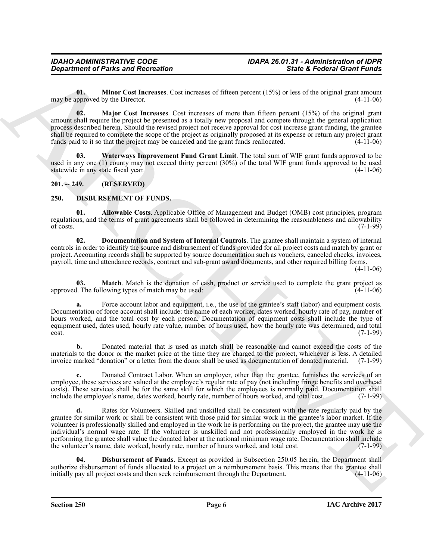<span id="page-5-3"></span>**01. Minor Cost Increases**. Cost increases of fifteen percent (15%) or less of the original grant amount proved by the Director. (4-11-06) may be approved by the Director.

<span id="page-5-2"></span>**02. Major Cost Increases**. Cost increases of more than fifteen percent (15%) of the original grant amount shall require the project be presented as a totally new proposal and compete through the general application process described herein. Should the revised project not receive approval for cost increase grant funding, the grantee shall be required to complete the scope of the project as originally proposed at its expense or return any project grant funds project grant funds project as originally proposed at its expense or return any project grant f funds paid to it so that the project may be canceled and the grant funds reallocated.

<span id="page-5-4"></span>**03. Waterways Improvement Fund Grant Limit**. The total sum of WIF grant funds approved to be used in any one (1) county may not exceed thirty percent (30%) of the total WIF grant funds approved to be used<br>statewide in any state fiscal year. (4-11-06) statewide in any state fiscal year.

# <span id="page-5-0"></span>**201. -- 249. (RESERVED)**

### <span id="page-5-5"></span><span id="page-5-1"></span>**250. DISBURSEMENT OF FUNDS.**

<span id="page-5-6"></span>**01. Allowable Costs**. Applicable Office of Management and Budget (OMB) cost principles, program regulations, and the terms of grant agreements shall be followed in determining the reasonableness and allowability<br>(7-1-99) of costs.  $(7-1-99)$ 

<span id="page-5-8"></span>**02. Documentation and System of Internal Controls**. The grantee shall maintain a system of internal controls in order to identify the source and disbursement of funds provided for all project costs and match by grant or project. Accounting records shall be supported by source documentation such as vouchers, canceled checks, invoices, payroll, time and attendance records, contract and sub-grant award documents, and other required billing forms.

(4-11-06)

<span id="page-5-9"></span>**03. Match**. Match is the donation of cash, product or service used to complete the grant project as l. The following types of match may be used: (4-11-06) approved. The following types of match may be used:

**a.** Force account labor and equipment, i.e., the use of the grantee's staff (labor) and equipment costs. Documentation of force account shall include: the name of each worker, dates worked, hourly rate of pay, number of hours worked, and the total cost by each person. Documentation of equipment costs shall include the type of equipment used, dates used, hourly rate value, number of hours used, how the hourly rate was determined, and total cost.  $\cot$ . (7-1-99)

**b.** Donated material that is used as match shall be reasonable and cannot exceed the costs of the materials to the donor or the market price at the time they are charged to the project, whichever is less. A detailed invoice marked "donation" or a letter from the donor shall be used as documentation of donated material. (7-1-99)

**c.** Donated Contract Labor. When an employer, other than the grantee, furnishes the services of an employee, these services are valued at the employee's regular rate of pay (not including fringe benefits and overhead costs). These services shall be for the same skill for which the employees is normally paid. Documentation shall<br>include the employee's name, dates worked, hourly rate, number of hours worked, and total cost. (7-1-99) include the employee's name, dates worked, hourly rate, number of hours worked, and total cost.

*Department of Parks and Recreation*<br> **Since 4 Federal General was also Recreates of this particular state 4 Federal General Words and the state state of the state state of the state of the state of the state of the sta d.** Rates for Volunteers. Skilled and unskilled shall be consistent with the rate regularly paid by the grantee for similar work or shall be consistent with those paid for similar work in the grantee's labor market. If the volunteer is professionally skilled and employed in the work he is performing on the project, the grantee may use the individual's normal wage rate. If the volunteer is unskilled and not professionally employed in the work he is performing the grantee shall value the donated labor at the national minimum wage rate. Documentation shall include the volunteer's name, date worked, hourly rate, number of hours worked, and total cost. (7-1-99)

<span id="page-5-7"></span>**04. Disbursement of Funds**. Except as provided in Subsection 250.05 herein, the Department shall authorize disbursement of funds allocated to a project on a reimbursement basis. This means that the grantee shall<br>initially pay all project costs and then seek reimbursement through the Department. (4-11-06) initially pay all project costs and then seek reimbursement through the Department.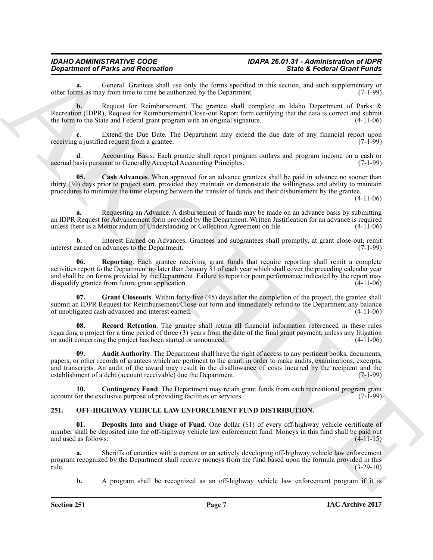#### *IDAHO ADMINISTRATIVE CODE IDAPA 26.01.31 - Administration of IDPR Department of Parks and Recreation*

**a.** General. Grantees shall use only the forms specified in this section, and such supplementary or ms as may from time to time be authorized by the Department. (7-1-99) other forms as may from time to time be authorized by the Department.

**b.** Request for Reimbursement. The grantee shall complete an Idaho Department of Parks & Recreation (IDPR), Request for Reimbursement/Close-out Report form certifying that the data is correct and submit the form to the State and Federal grant program with an original signature. (4-11-06) the form to the State and Federal grant program with an original signature.

**c**. Extend the Due Date. The Department may extend the due date of any financial report upon g a justified request from a grantee. receiving a justified request from a grantee.

**d**. Accounting Basis. Each grantee shall report program outlays and program income on a cash or asis pursuant to Generally Accepted Accounting Principles. (7-1-99) accrual basis pursuant to Generally Accepted Accounting Principles.

<span id="page-6-2"></span>**05. Cash Advances**. When approved for an advance grantees shall be paid in advance no sooner than thirty (30) days prior to project start, provided they maintain or demonstrate the willingness and ability to maintain procedures to minimize the time elapsing between the transfer of funds and their disbursement by the grantee.

(4-11-06)

**a.** Requesting an Advance. A disbursement of funds may be made on an advance basis by submitting an IDPR Request for Advancement form provided by the Department. Written Justification for an advance is required<br>unless there is a Memorandum of Understanding or Collection Agreement on file. (4-11-06) unless there is a Memorandum of Understanding or Collection Agreement on file.

<span id="page-6-6"></span>**b.** Interest Earned on Advances. Grantees and subgrantees shall promptly, at grant close-out, remit carned on advances to the Department. (7-1-99) interest earned on advances to the Department.

**Equation of Planetaria Check the state of the state of the state of the state of the state of the state of the state of the state of the state of the state of the state of the state of the state of the state of the state 06. Reporting**. Each grantee receiving grant funds that require reporting shall remit a complete activities report to the Department no later than January 31 of each year which shall cover the preceding calendar year and shall be on forms provided by the Department. Failure to report or poor performance indicated by the report may disqualify grantee from future grant application. (4-11-06) disqualify grantee from future grant application.

<span id="page-6-4"></span>**Grant Closeouts**. Within forty-five (45) days after the completion of the project, the grantee shall submit an IDPR Request for Reimbursement/Close-out form and immediately refund to the Department any balance<br>of unobligated cash advanced and interest earned. (4-11-06) of unobligated cash advanced and interest earned.

<span id="page-6-5"></span>**08. Record Retention**. The grantee shall retain all financial information referenced in these rules regarding a project for a time period of three (3) years from the date of the final grant payment, unless any litigation<br>or audit concerning the project has been started or announced. or audit concerning the project has been started or announced.

<span id="page-6-1"></span>**09. Audit Authority**. The Department shall have the right of access to any pertinent books, documents, papers, or other records of grantees which are pertinent to the grant, in order to make audits, examinations, excerpts, and transcripts. An audit of the award may result in the disallowance of costs incurred by the recipient and the establishment of a debt (account receivable) due the Department.  $(7-1-99)$ establishment of a debt (account receivable) due the Department.

<span id="page-6-3"></span>**10. Contingency Fund**. The Department may retain grant funds from each recreational program grant for the exclusive purpose of providing facilities or services. (7-1-99) account for the exclusive purpose of providing facilities or services.

### <span id="page-6-7"></span><span id="page-6-0"></span>**251. OFF-HIGHWAY VEHICLE LAW ENFORCEMENT FUND DISTRIBUTION.**

<span id="page-6-8"></span>**01. Deposits Into and Usage of Fund**. One dollar (\$1) of every off-highway vehicle certificate of number shall be deposited into the off-highway vehicle law enforcement fund. Moneys in this fund shall be paid out and used as follows: (4-11-15) and used as follows:

**a.** Sheriffs of counties with a current or an actively developing off-highway vehicle law enforcement program recognized by the Department shall receive moneys from the fund based upon the formula provided in this rule. (3-29-10) rule. (3-29-10)

**b.** A program shall be recognized as an off-highway vehicle law enforcement program if it is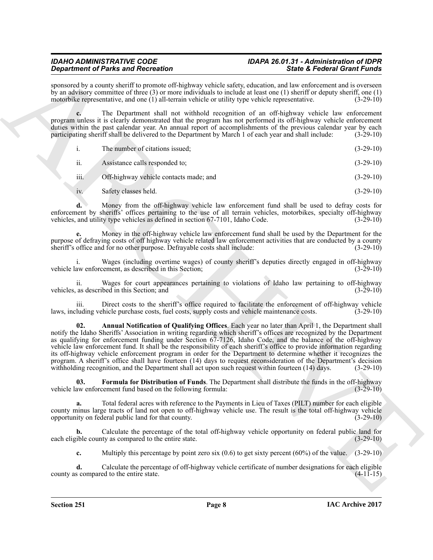# *IDAHO ADMINISTRATIVE CODE IDAPA 26.01.31 - Administration of IDPR*

sponsored by a county sheriff to promote off-highway vehicle safety, education, and law enforcement and is overseen by an advisory committee of three (3) or more individuals to include at least one (1) sheriff or deputy sheriff, one (1) motorbike representative, and one (1) all-terrain vehicle or utility type vehicle representative. (3-29-10)

**c.** The Department shall not withhold recognition of an off-highway vehicle law enforcement program unless it is clearly demonstrated that the program has not performed its off-highway vehicle enforcement duties within the past calendar year. An annual report of accomplishments of the previous calendar year by each participating sheriff shall be delivered to the Department by March 1 of each year and shall include: (3-29-10)

|                   | The number of citations issued;        | $(3-29-10)$ |
|-------------------|----------------------------------------|-------------|
| ii.               | Assistance calls responded to;         | $(3-29-10)$ |
| iii.              | Off-highway vehicle contacts made; and | $(3-29-10)$ |
| $\overline{1}V$ . | Safety classes held.                   | $(3-29-10)$ |

**d.** Money from the off-highway vehicle law enforcement fund shall be used to defray costs for enforcement by sheriffs' offices pertaining to the use of all terrain vehicles, motorbikes, specialty off-highway vehicles, and utility type vehicles as defined in section 67-7101, Idaho Code.  $(3-29-10)$ 

**e.** Money in the off-highway vehicle law enforcement fund shall be used by the Department for the purpose of defraying costs of off highway vehicle related law enforcement activities that are conducted by a county sheriff's office and for no other purpose. Defrayable costs shall include: (3-29-10) sheriff's office and for no other purpose. Defrayable costs shall include:

i. Wages (including overtime wages) of county sheriff's deputies directly engaged in off-highway aw enforcement, as described in this Section; (3-29-10) vehicle law enforcement, as described in this Section;

ii. Wages for court appearances pertaining to violations of Idaho law pertaining to off-highway as described in this Section; and (3-29-10) vehicles, as described in this Section; and (3-29-10)

<span id="page-7-0"></span>iii. Direct costs to the sheriff's office required to facilitate the enforcement of off-highway vehicle luding vehicle purchase costs, fuel costs, supply costs and vehicle maintenance costs. (3-29-10) laws, including vehicle purchase costs, fuel costs, supply costs and vehicle maintenance costs.

**Experiment of Paintings in American** Chinacter Controlling (and Experiment of the Experiment of The Experiment of the Experiment of the Experiment of the Experiment of the Experiment of the Experiment of the Experiment o **02. Annual Notification of Qualifying Offices**. Each year no later than April 1, the Department shall notify the Idaho Sheriffs' Association in writing regarding which sheriff's offices are recognized by the Department as qualifying for enforcement funding under Section 67-7126, Idaho Code, and the balance of the off-highway vehicle law enforcement fund. It shall be the responsibility of each sheriff's office to provide information regarding its off-highway vehicle enforcement program in order for the Department to determine whether it recognizes the program. A sheriff's office shall have fourteen (14) days to request reconsideration of the Department's decision withholding recognition, and the Department shall act upon such request within fourteen (14) days. (3-29-10) withholding recognition, and the Department shall act upon such request within fourteen  $(14)$  days.

<span id="page-7-1"></span>**03.** Formula for Distribution of Funds. The Department shall distribute the funds in the off-highway aw enforcement fund based on the following formula: (3-29-10) vehicle law enforcement fund based on the following formula:

**a.** Total federal acres with reference to the Payments in Lieu of Taxes (PILT) number for each eligible county minus large tracts of land not open to off-highway vehicle use. The result is the total off-highway vehicle opportunity on federal public land for that county. (3-29-10)

**b.** Calculate the percentage of the total off-highway vehicle opportunity on federal public land for ible county as compared to the entire state.  $(3-29-10)$ each eligible county as compared to the entire state.

**c.** Multiply this percentage by point zero six (0.6) to get sixty percent (60%) of the value. (3-29-10)

**d.** Calculate the percentage of off-highway vehicle certificate of number designations for each eligible s compared to the entire state.  $(4-11-15)$ county as compared to the entire state.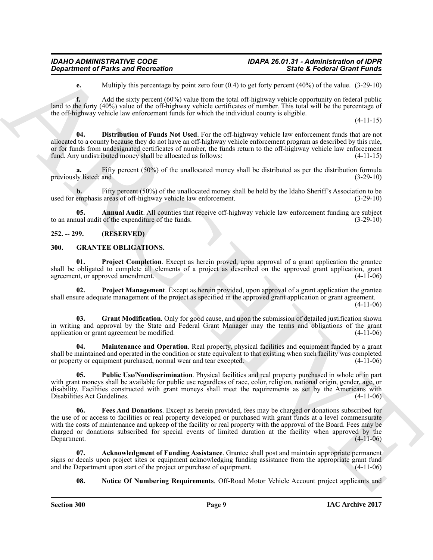# *IDAHO ADMINISTRATIVE CODE IDAPA 26.01.31 - Administration of IDPR*

<span id="page-8-12"></span>**e.** Multiply this percentage by point zero four (0.4) to get forty percent (40%) of the value. (3-29-10)

**f.** Add the sixty percent (60%) value from the total off-highway vehicle opportunity on federal public land to the forty (40%) value of the off-highway vehicle certificates of number. This total will be the percentage of the off-highway vehicle law enforcement funds for which the individual county is eligible.

(4-11-15)

**04. Distribution of Funds Not Used**. For the off-highway vehicle law enforcement funds that are not allocated to a county because they do not have an off-highway vehicle enforcement program as described by this rule, or for funds from undesignated certificates of number, the funds return to the off-highway vehicle law enforcement fund. Any undistributed money shall be allocated as follows:  $(4-11-15)$ fund. Any undistributed money shall be allocated as follows:

Fifty percent (50%) of the unallocated money shall be distributed as per the distribution formula<br>(3-29-10)<br>(3-29-10) previously listed; and

**b.** Fifty percent (50%) of the unallocated money shall be held by the Idaho Sheriff's Association to be emphasis areas of off-highway vehicle law enforcement. (3-29-10) used for emphasis areas of off-highway vehicle law enforcement.

<span id="page-8-11"></span>**Annual Audit**. All counties that receive off-highway vehicle law enforcement funding are subject of the expenditure of the funds. to an annual audit of the expenditure of the funds.

# <span id="page-8-0"></span>**252. -- 299. (RESERVED)**

#### <span id="page-8-2"></span><span id="page-8-1"></span>**300. GRANTEE OBLIGATIONS.**

<span id="page-8-8"></span>**01. Project Completion**. Except as herein proved, upon approval of a grant application the grantee shall be obligated to complete all elements of a project as described on the approved grant application, grant agreement, or approved amendment.

<span id="page-8-9"></span>**02. Project Management**. Except as herein provided, upon approval of a grant application the grantee shall ensure adequate management of the project as specified in the approved grant application or grant agreement.

(4-11-06)

<span id="page-8-5"></span>**03. Grant Modification**. Only for good cause, and upon the submission of detailed justification shown in writing and approval by the State and Federal Grant Manager may the terms and obligations of the grant application or grant agreement be modified. (4-11-06) application or grant agreement be modified.

<span id="page-8-6"></span>**04. Maintenance and Operation**. Real property, physical facilities and equipment funded by a grant shall be maintained and operated in the condition or state equivalent to that existing when such facility was completed<br>or property or equipment purchased, normal wear and tear excepted. (4-11-06) or property or equipment purchased, normal wear and tear excepted.

<span id="page-8-10"></span><span id="page-8-4"></span>**05. Public Use/Nondiscrimination**. Physical facilities and real property purchased in whole or in part with grant moneys shall be available for public use regardless of race, color, religion, national origin, gender, age, or disability. Facilities constructed with grant moneys shall meet the requirements as set by the Americans with Disabilities Act Guidelines. (4-11-06) Disabilities Act Guidelines.

**Department of Parks and Recreation**<br>
Madely the action of the state of the state of the State of Parks and Recreations . Since  $\Delta E$  results the state of the state of the state of the state of the state of the state of t **06. Fees And Donations**. Except as herein provided, fees may be charged or donations subscribed for the use of or access to facilities or real property developed or purchased with grant funds at a level commensurate with the costs of maintenance and upkeep of the facility or real property with the approval of the Board. Fees may be charged or donations subscribed for special events of limited duration at the facility when approved by the Department. (4-11-06) Department.

**07. Acknowledgment of Funding Assistance**. Grantee shall post and maintain appropriate permanent signs or decals upon project sites or equipment acknowledging funding assistance from the appropriate grant fund<br>and the Department upon start of the project or purchase of equipment. (4-11-06) and the Department upon start of the project or purchase of equipment.

<span id="page-8-7"></span><span id="page-8-3"></span>**08. Notice Of Numbering Requirements**. Off-Road Motor Vehicle Account project applicants and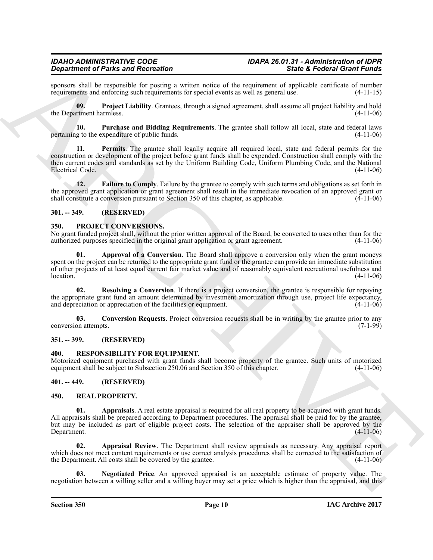sponsors shall be responsible for posting a written notice of the requirement of applicable certificate of number<br>requirements and enforcing such requirements for special events as well as general use. (4-11-15) requirements and enforcing such requirements for special events as well as general use.

<span id="page-9-8"></span>**09. Project Liability**. Grantees, through a signed agreement, shall assume all project liability and hold the Department harmless. (4-11-06)

<span id="page-9-9"></span><span id="page-9-7"></span>**10. Purchase and Bidding Requirements**. The grantee shall follow all local, state and federal laws pertaining to the expenditure of public funds.

**Since the relation of the since the since the symphony of the second Grand Control of the symphony of the symphony of the symphony of the symphony of the symphony of the symphony of the symphony of the symphony of the sy 11. Permits**. The grantee shall legally acquire all required local, state and federal permits for the construction or development of the project before grant funds shall be expended. Construction shall comply with the then current codes and standards as set by the Uniform Building Code, Uniform Plumbing Code, and the National Electrical Code.

<span id="page-9-6"></span>**12. Failure to Comply**. Failure by the grantee to comply with such terms and obligations as set forth in the approved grant application or grant agreement shall result in the immediate revocation of an approved grant or shall constitute a conversion pursuant to Section 350 of this chapter, as applicable. (4-11-06) shall constitute a conversion pursuant to Section 350 of this chapter, as applicable.

### <span id="page-9-0"></span>**301. -- 349. (RESERVED)**

#### <span id="page-9-10"></span><span id="page-9-1"></span>**350. PROJECT CONVERSIONS.**

No grant funded project shall, without the prior written approval of the Board, be converted to uses other than for the authorized purposes specified in the original grant application or grant agreement. (4-11-06) authorized purposes specified in the original grant application or grant agreement.

<span id="page-9-11"></span>**01. Approval of a Conversion**. The Board shall approve a conversion only when the grant moneys spent on the project can be returned to the appropriate grant fund or the grantee can provide an immediate substitution of other projects of at least equal current fair market value and of reasonably equivalent recreational usefulness and  $\lambda$ location.  $(4-11-06)$ 

<span id="page-9-13"></span>**02. Resolving a Conversion**. If there is a project conversion, the grantee is responsible for repaying the appropriate grant fund an amount determined by investment amortization through use, project life expectancy, and depreciation or appreciation of the facilities or equipment. (4-11-06) and depreciation or appreciation of the facilities or equipment.

<span id="page-9-12"></span>**03. Conversion Requests**. Project conversion requests shall be in writing by the grantee prior to any on attempts. (7-1-99) conversion attempts.

#### <span id="page-9-2"></span>**351. -- 399. (RESERVED)**

#### <span id="page-9-18"></span><span id="page-9-3"></span>**400. RESPONSIBILITY FOR EQUIPMENT.**

Motorized equipment purchased with grant funds shall become property of the grantee. Such units of motorized equipment shall be subject to Subsection 250.06 and Section 350 of this chapter. (4-11-06) equipment shall be subject to Subsection 250.06 and Section 350 of this chapter.

### <span id="page-9-4"></span>**401. -- 449. (RESERVED)**

#### <span id="page-9-16"></span><span id="page-9-14"></span><span id="page-9-5"></span>**450. REAL PROPERTY.**

**01. Appraisals**. A real estate appraisal is required for all real property to be acquired with grant funds. All appraisals shall be prepared according to Department procedures. The appraisal shall be paid for by the grantee, but may be included as part of eligible project costs. The selection of the appraiser shall be approved by the Department. (4-11-06)

<span id="page-9-15"></span>**02. Appraisal Review**. The Department shall review appraisals as necessary. Any appraisal report which does not meet content requirements or use correct analysis procedures shall be corrected to the satisfaction of the Department. All costs shall be covered by the grantee. (4-11-06) the Department. All costs shall be covered by the grantee.

<span id="page-9-17"></span>**03. Negotiated Price**. An approved appraisal is an acceptable estimate of property value. The negotiation between a willing seller and a willing buyer may set a price which is higher than the appraisal, and this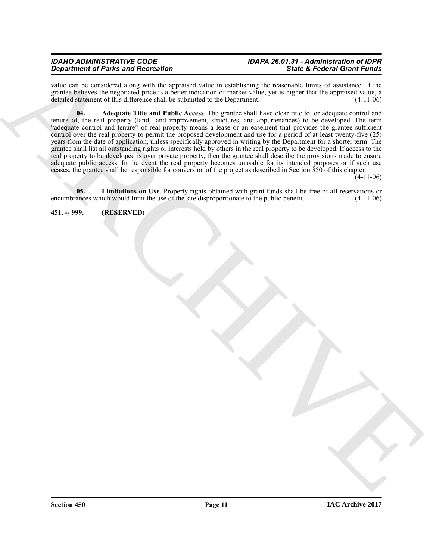# *IDAHO ADMINISTRATIVE CODE IDAPA 26.01.31 - Administration of IDPR*

<span id="page-10-1"></span>value can be considered along with the appraised value in establishing the reasonable limits of assistance. If the grantee believes the negotiated price is a better indication of market value, yet is higher that the appraised value, a detailed statement of this difference shall be submitted to the Department. (4-11-06)

Being chemical of the state of the company collect a state<br>helm on the control of the state of the state of the state of the state of the late of the state of the state of the state of the state of the state of the state **04. Adequate Title and Public Access**. The grantee shall have clear title to, or adequate control and tenure of, the real property (land, land improvement, structures, and appurtenances) to be developed. The term "adequate control and tenure" of real property means a lease or an easement that provides the grantee sufficient control over the real property to permit the proposed development and use for a period of at least twenty-five (25) years from the date of application, unless specifically approved in writing by the Department for a shorter term. The grantee shall list all outstanding rights or interests held by others in the real property to be developed. If access to the real property to be developed is over private property, then the grantee shall describe the provisions made to ensure adequate public access. In the event the real property becomes unusable for its intended purposes or if such use ceases, the grantee shall be responsible for conversion of the project as described in Section 350 of this chapter.

 $(4-11-06)$ 

<span id="page-10-2"></span>**05.** Limitations on Use. Property rights obtained with grant funds shall be free of all reservations or ances which would limit the use of the site disproportionate to the public benefit.  $(4-11-06)$ encumbrances which would limit the use of the site disproportionate to the public benefit.

<span id="page-10-0"></span>**451. -- 999. (RESERVED)**